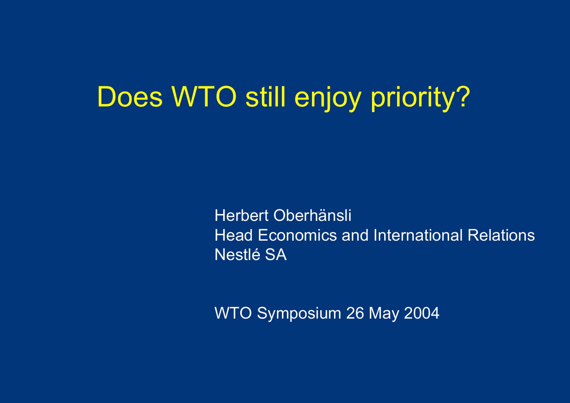## Does WTO still enjoy priority?

Herbert Oberhänsli Head Economics and International Relations Nestlé SA

WTO Symposium 26 May 2004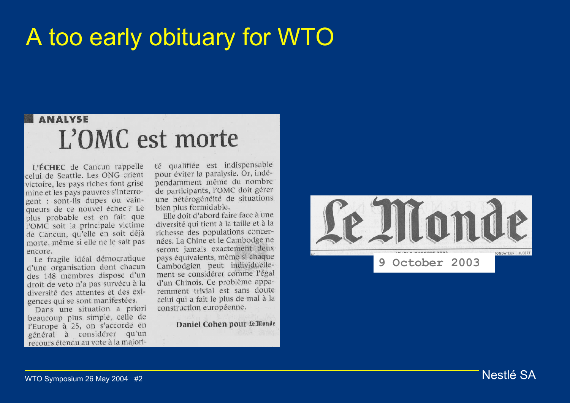### A too early obituary for WTO

#### **ANALYSE** L'OMC est morte

L'ÉCHEC de Cancun rappelle celui de Seattle. Les ONG crient victoire, les pays riches font grise mine et les pays pauvres s'interrogent : sont-ils dupes ou vainqueurs de ce nouvel échec ? Le plus probable est en fait que l'OMC soit la principale victime de Cancun, qu'elle en soit déjà morte, même si elle ne le sait pas encore.

Le fragile idéal démocratique d'une organisation dont chacun des 148 membres dispose d'un droit de veto n'a pas survécu à la diversité des attentes et des exigences qui se sont manifestées.

Dans une situation a priori beaucoup plus simple, celle de l'Europe à 25, on s'accorde en général à considérer qu'un recours étendu au vote à la majorité qualifiée est indispensable pour éviter la paralysie. Or, indépendamment même du nombre de participants, l'OMC doit gérer une hétérogénéité de situations bien plus formidable.

Elle doit d'abord faire face à une diversité qui tient à la taille et à la richesse des populations concernées. La Chine et le Cambodge ne seront jamais exactement deux pays équivalents, même si chaque Cambodgien peut individuellement se considérer comme l'égal d'un Chinois. Ce problème apparemment trivial est sans doute celui qui a fait le plus de mal à la construction européenne.

Daniel Cohen pour Le Monde

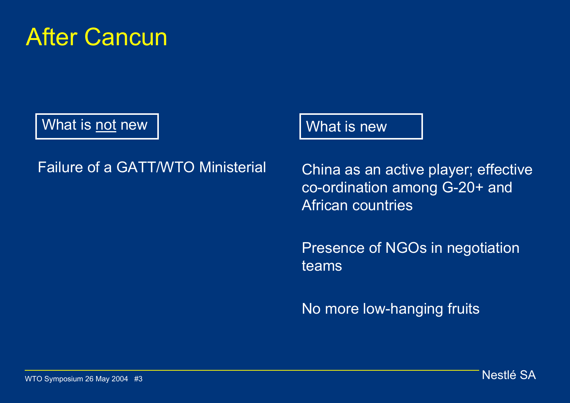

What is not new

#### Failure of a GATT/WTO Ministerial

What is new

China as an active player; effective co-ordination among G-20+ and African countries

Presence of NGOs in negotiation teams

No more low-hanging fruits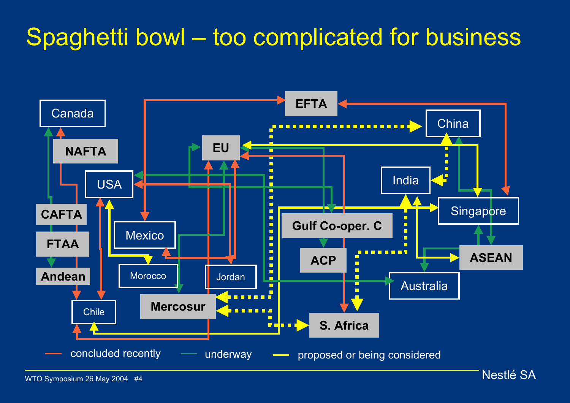### Spaghetti bowl – too complicated for business

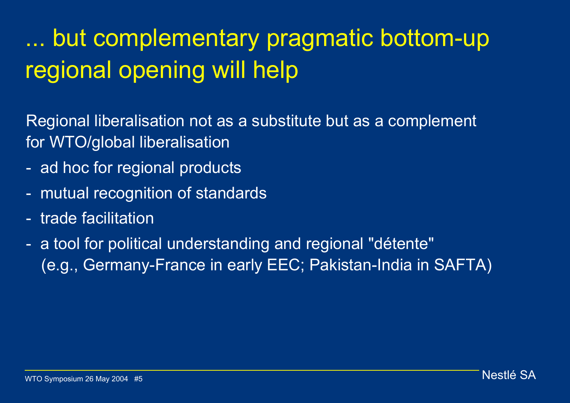## ... but complementary pragmatic bottom-up regional opening will help

Regional liberalisation not as a substitute but as a complement for WTO/global liberalisation

- ad hoc for regional products
- mutual recognition of standards
- trade facilitation
- a tool for political understanding and regional "détente" (e.g., Germany-France in early EEC; Pakistan-India in SAFTA)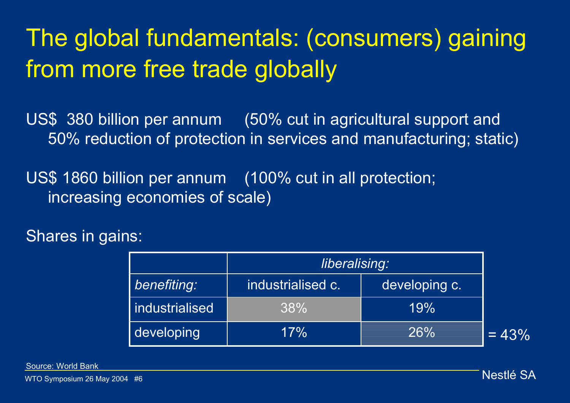## The global fundamentals: (consumers) gaining from more free trade globally

US\$ 380 billion per annum (50% cut in agricultural support and 50% reduction of protection in services and manufacturing; static)

US\$ 1860 billion per annum (100% cut in all protection; increasing economies of scale)

#### Shares in gains:

|                | liberalising:     |               |         |
|----------------|-------------------|---------------|---------|
| benefiting:    | industrialised c. | developing c. |         |
| Industrialised | 38%               | 19%           |         |
| developing     | 17%               | 26%           | $= 43%$ |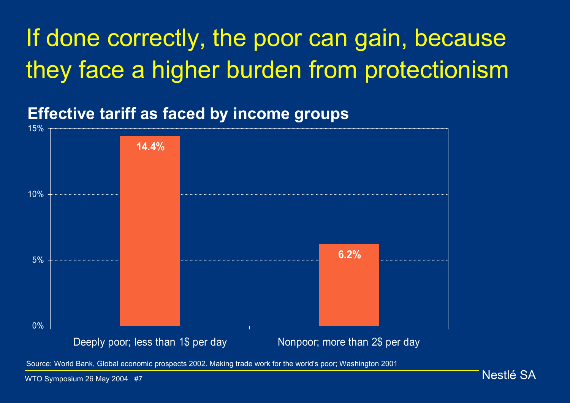## If done correctly, the poor can gain, because they face a higher burden from protectionism

#### **Effective tariff as faced by income groups**



Source: World Bank, Global economic prospects 2002. Making trade work for the world's poor; Washington 2001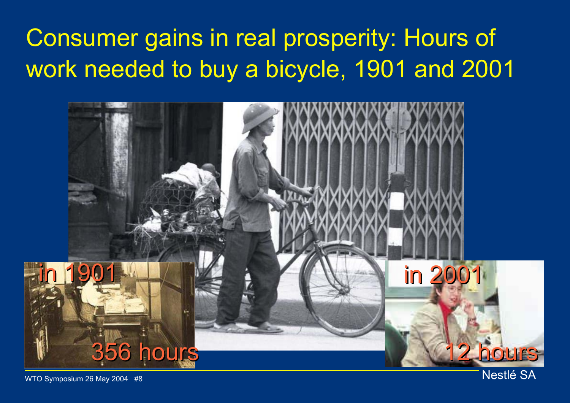## Consumer gains in real prosperity: Hours of work needed to buy a bicycle, 1901 and 2001

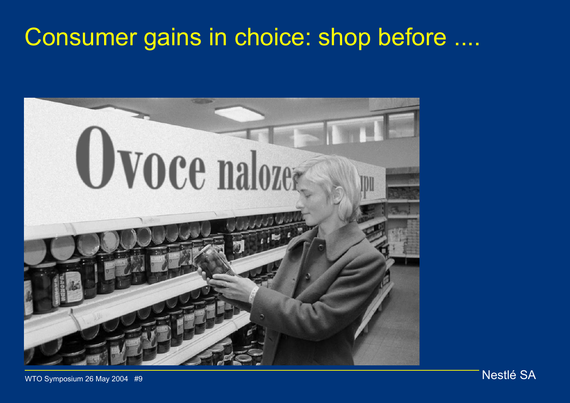### Consumer gains in choice: shop before ....

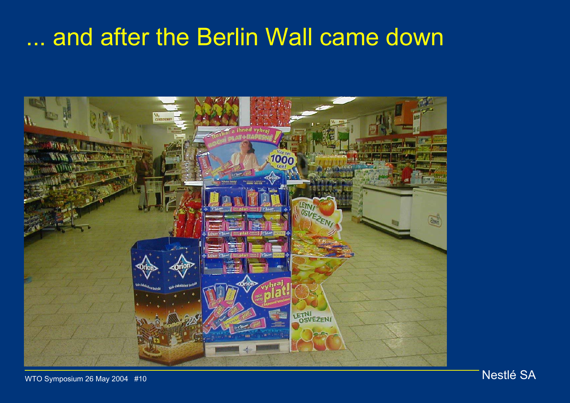### ... and after the Berlin Wall came down

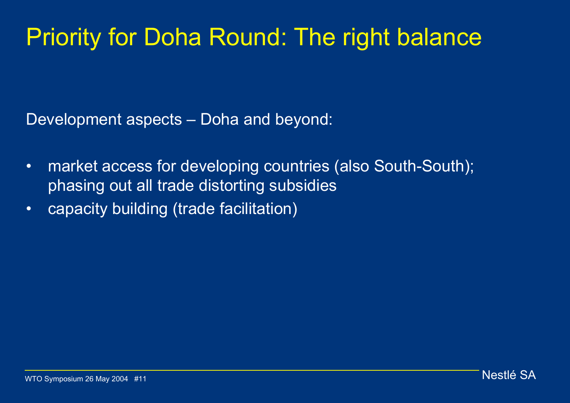### Priority for Doha Round: The right balance

Development aspects – Doha and beyond:

- • market access for developing countries (also South-South); phasing out all trade distorting subsidies
- •capacity building (trade facilitation)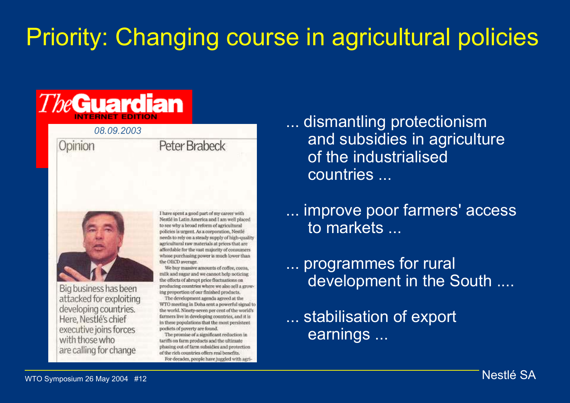## Priority: Changing course in agricultural policies

## **TheGuardian**

#### *08.09.2003*

#### Opinion



Big business has been attacked for exploiting developing countries. Here, Nestlé's chief executive joins forces with those who are calling for change

I have spent a good part of my career with Nestlé in Latin America and I am well placed to see why a broad reform of agricultural policies is urgent. As a corporation, Nestlé needs to rely on a steady supply of high-quality agricultural raw materials at prices that are affordable for the vast majority of consumers whose purchasing power is much lower than the OECD average.

We buy massive amounts of coffee, cocoa, milk and sugar and we cannot help noticing the effects of abrupt price fluctuations on producing countries where we also sell a growing proportion of our finished products.

The development agenda agreed at the WTO meeting in Doha sent a powerful signal to the world. Ninety-seven per cent of the world's farmers live in developing countries, and it is in these populations that the most persistent pockets of poverty are found.

The promise of a significant reduction in tariffs on farm products and the ultimate phasing out of farm subsidies and protection of the rich countries offers real benefits. For decades, people have juggled with agri-

external and subsidies in agriculture<br>
PeterBrabeck and subsidies in agriculture of the industrialised countries ...

> ... improve poor farmers' access to markets ...

... programmes for rural development in the South ....

... stabilisation of export earnings ...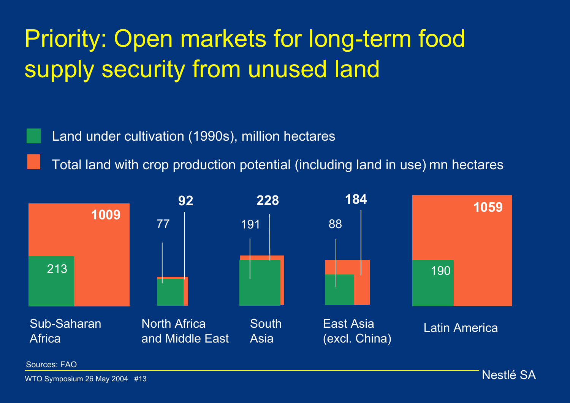## Priority: Open markets for long-term food supply security from unused land

Land under cultivation (1990s), million hectares

Total land with crop production potential (including land in use) mn hectares



Sources: FAO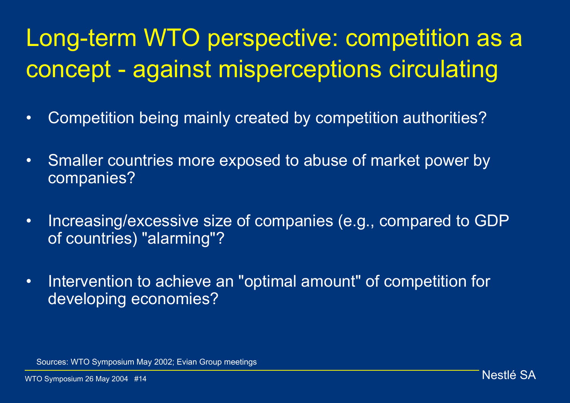## Long-term WTO perspective: competition as a concept - against misperceptions circulating

- •Competition being mainly created by competition authorities?
- $\bullet$  Smaller countries more exposed to abuse of market power by companies?
- • Increasing/excessive size of companies (e.g., compared to GDP of countries) "alarming"?
- • Intervention to achieve an "optimal amount" of competition for developing economies?

Sources: WTO Symposium May 2002; Evian Group meetings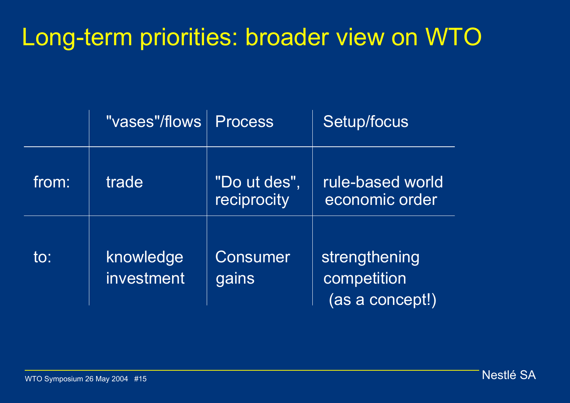### Long-term priorities: broader view on WTO

|       | "vases"/flows           | <b>Process</b>              | Setup/focus                                     |
|-------|-------------------------|-----------------------------|-------------------------------------------------|
| from: | trade                   | "Do ut des",<br>reciprocity | rule-based world<br>economic order              |
| to:   | knowledge<br>investment | Consumer<br>gains           | strengthening<br>competition<br>(as a concept!) |